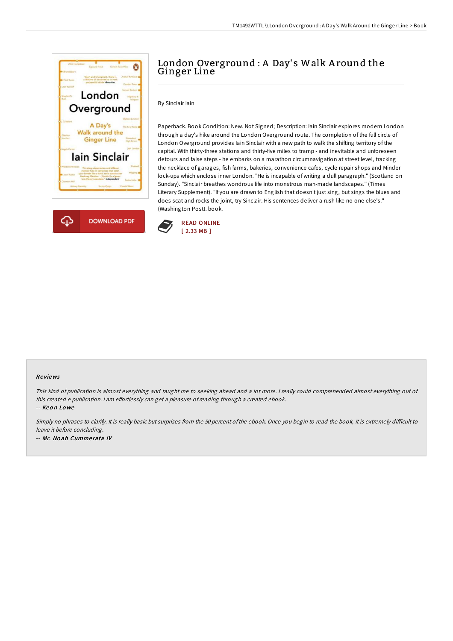



## London Overground : A Day's Walk Around the Ginger Line

By Sinclair Iain

Paperback. Book Condition: New. Not Signed; Description: Iain Sinclair explores modern London through a day's hike around the London Overground route. The completion of the full circle of London Overground provides Iain Sinclair with a new path to walk the shifting territory of the capital. With thirty-three stations and thirty-five miles to tramp - and inevitable and unforeseen detours and false steps - he embarks on a marathon circumnavigation at street level, tracking the necklace of garages, fish farms, bakeries, convenience cafes, cycle repair shops and Minder lock-ups which enclose inner London. "He is incapable of writing a dull paragraph." (Scotland on Sunday). "Sinclair breathes wondrous life into monstrous man-made landscapes." (Times Literary Supplement). "If you are drawn to English that doesn't just sing, but sings the blues and does scat and rocks the joint, try Sinclair. His sentences deliver a rush like no one else's." (Washington Post). book.



## Re views

This kind of publication is almost everything and taught me to seeking ahead and <sup>a</sup> lot more. <sup>I</sup> really could comprehended almost everything out of this created e publication. I am effortlessly can get a pleasure of reading through a created ebook.

-- Keo n Lo we

Simply no phrases to clarify. It is really basic but surprises from the 50 percent of the ebook. Once you begin to read the book, it is extremely difficult to leave it before concluding. -- Mr. No ah Cumme rata IV